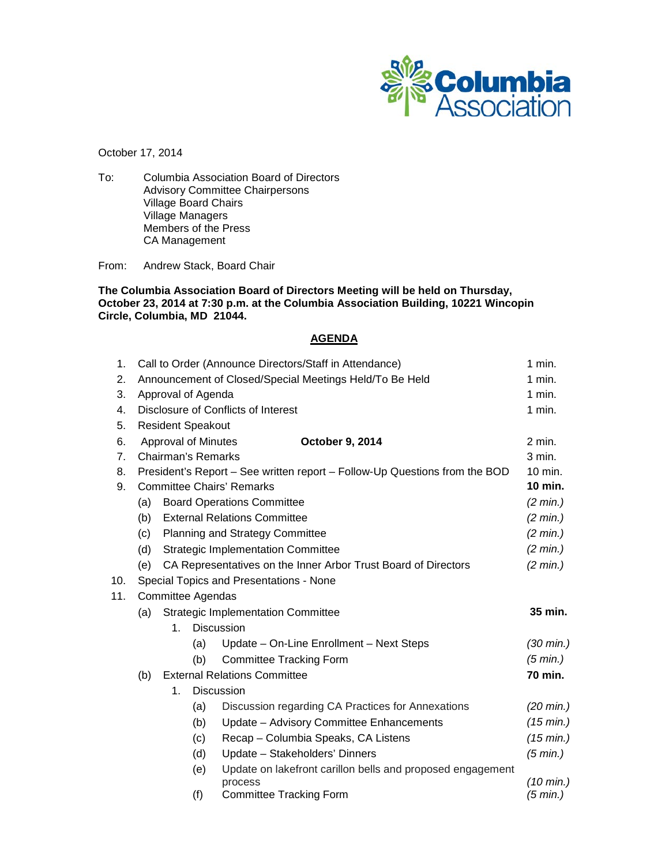

October 17, 2014

To: Columbia Association Board of Directors Advisory Committee Chairpersons Village Board Chairs Village Managers Members of the Press CA Management

From: Andrew Stack, Board Chair

### **The Columbia Association Board of Directors Meeting will be held on Thursday, October 23, 2014 at 7:30 p.m. at the Columbia Association Building, 10221 Wincopin Circle, Columbia, MD 21044.**

## **AGENDA**

| 1 <sub>1</sub> | Call to Order (Announce Directors/Staff in Attendance)                     |                          |     |                                                            | $1$ min.            |  |
|----------------|----------------------------------------------------------------------------|--------------------------|-----|------------------------------------------------------------|---------------------|--|
| 2.             | Announcement of Closed/Special Meetings Held/To Be Held                    |                          |     |                                                            | $1$ min.            |  |
| 3.             | Approval of Agenda                                                         |                          |     |                                                            | 1 min.              |  |
| 4.             | Disclosure of Conflicts of Interest                                        |                          |     |                                                            | 1 min.              |  |
| 5.             |                                                                            | <b>Resident Speakout</b> |     |                                                            |                     |  |
| 6.             | Approval of Minutes<br>October 9, 2014                                     |                          |     |                                                            | $2$ min.            |  |
| $7_{\cdot}$    | <b>Chairman's Remarks</b>                                                  |                          |     |                                                            | 3 min.              |  |
| 8.             | President's Report – See written report – Follow-Up Questions from the BOD |                          |     |                                                            | 10 min.             |  |
| 9.             | <b>Committee Chairs' Remarks</b>                                           |                          |     |                                                            | 10 min.             |  |
|                | (a)                                                                        |                          |     | <b>Board Operations Committee</b>                          | (2 min.)            |  |
|                | <b>External Relations Committee</b><br>(b)                                 |                          |     | (2 min.)                                                   |                     |  |
|                | <b>Planning and Strategy Committee</b><br>(c)                              |                          |     | (2 min.)                                                   |                     |  |
|                | (d)<br><b>Strategic Implementation Committee</b>                           |                          |     |                                                            | (2 min.)            |  |
|                | (e)<br>CA Representatives on the Inner Arbor Trust Board of Directors      |                          |     |                                                            | (2 min.)            |  |
| 10.            | Special Topics and Presentations - None                                    |                          |     |                                                            |                     |  |
| 11.            | <b>Committee Agendas</b>                                                   |                          |     |                                                            |                     |  |
|                | <b>Strategic Implementation Committee</b><br>(a)                           |                          |     |                                                            | 35 min.             |  |
|                | <b>Discussion</b><br>$1_{-}$                                               |                          |     |                                                            |                     |  |
|                |                                                                            |                          | (a) | Update - On-Line Enrollment - Next Steps                   | $(30 \text{ min.})$ |  |
|                |                                                                            |                          | (b) | <b>Committee Tracking Form</b>                             | (5 min.)            |  |
|                | <b>External Relations Committee</b><br>(b)                                 |                          |     | 70 min.                                                    |                     |  |
|                | <b>Discussion</b><br>1.                                                    |                          |     |                                                            |                     |  |
|                |                                                                            |                          | (a) | Discussion regarding CA Practices for Annexations          | $(20 \text{ min.})$ |  |
|                |                                                                            |                          | (b) | Update - Advisory Committee Enhancements                   | (15 min.)           |  |
|                |                                                                            |                          | (c) | Recap - Columbia Speaks, CA Listens                        | (15 min.)           |  |
|                |                                                                            |                          | (d) | Update - Stakeholders' Dinners                             | (5 min.)            |  |
|                |                                                                            |                          | (e) | Update on lakefront carillon bells and proposed engagement |                     |  |
|                |                                                                            |                          |     | process                                                    | $(10 \text{ min.})$ |  |
|                |                                                                            |                          | (f) | <b>Committee Tracking Form</b>                             | (5 min.)            |  |